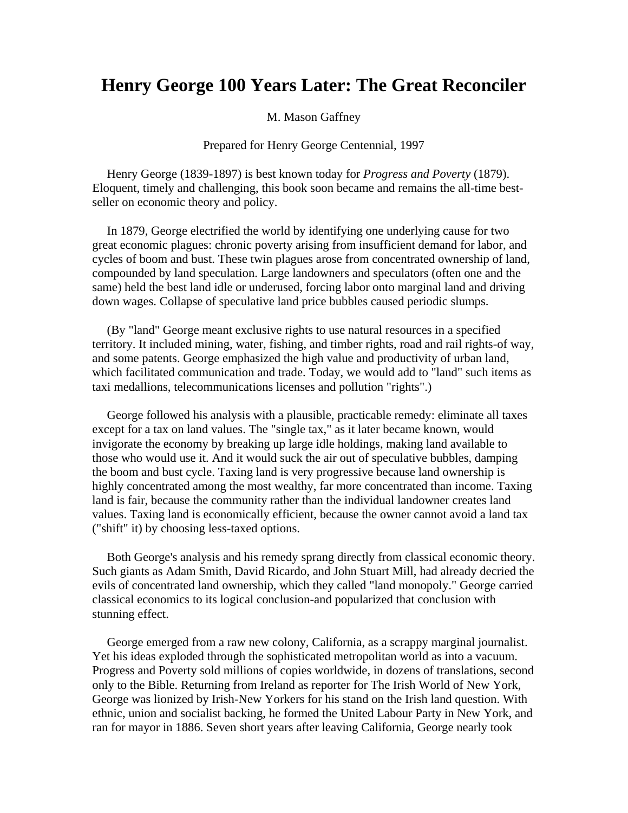## **Henry George 100 Years Later: The Great Reconciler**

M. Mason Gaffney

Prepared for Henry George Centennial, 1997

Henry George (1839-1897) is best known today for *Progress and Poverty* (1879). Eloquent, timely and challenging, this book soon became and remains the all-time bestseller on economic theory and policy.

In 1879, George electrified the world by identifying one underlying cause for two great economic plagues: chronic poverty arising from insufficient demand for labor, and cycles of boom and bust. These twin plagues arose from concentrated ownership of land, compounded by land speculation. Large landowners and speculators (often one and the same) held the best land idle or underused, forcing labor onto marginal land and driving down wages. Collapse of speculative land price bubbles caused periodic slumps.

(By "land" George meant exclusive rights to use natural resources in a specified territory. It included mining, water, fishing, and timber rights, road and rail rights-of way, and some patents. George emphasized the high value and productivity of urban land, which facilitated communication and trade. Today, we would add to "land" such items as taxi medallions, telecommunications licenses and pollution "rights".)

George followed his analysis with a plausible, practicable remedy: eliminate all taxes except for a tax on land values. The "single tax," as it later became known, would invigorate the economy by breaking up large idle holdings, making land available to those who would use it. And it would suck the air out of speculative bubbles, damping the boom and bust cycle. Taxing land is very progressive because land ownership is highly concentrated among the most wealthy, far more concentrated than income. Taxing land is fair, because the community rather than the individual landowner creates land values. Taxing land is economically efficient, because the owner cannot avoid a land tax ("shift" it) by choosing less-taxed options.

Both George's analysis and his remedy sprang directly from classical economic theory. Such giants as Adam Smith, David Ricardo, and John Stuart Mill, had already decried the evils of concentrated land ownership, which they called "land monopoly." George carried classical economics to its logical conclusion-and popularized that conclusion with stunning effect.

George emerged from a raw new colony, California, as a scrappy marginal journalist. Yet his ideas exploded through the sophisticated metropolitan world as into a vacuum. Progress and Poverty sold millions of copies worldwide, in dozens of translations, second only to the Bible. Returning from Ireland as reporter for The Irish World of New York, George was lionized by Irish-New Yorkers for his stand on the Irish land question. With ethnic, union and socialist backing, he formed the United Labour Party in New York, and ran for mayor in 1886. Seven short years after leaving California, George nearly took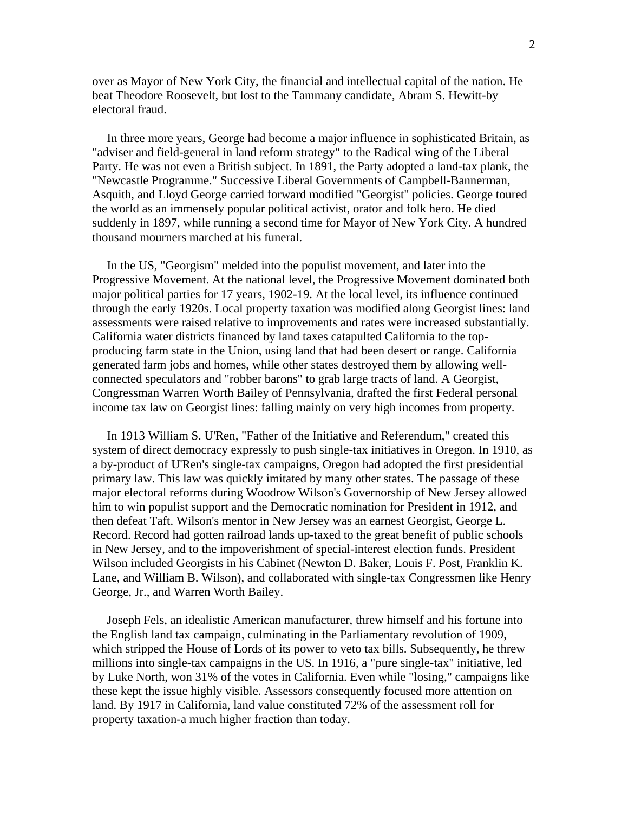over as Mayor of New York City, the financial and intellectual capital of the nation. He beat Theodore Roosevelt, but lost to the Tammany candidate, Abram S. Hewitt-by electoral fraud.

In three more years, George had become a major influence in sophisticated Britain, as "adviser and field-general in land reform strategy" to the Radical wing of the Liberal Party. He was not even a British subject. In 1891, the Party adopted a land-tax plank, the "Newcastle Programme." Successive Liberal Governments of Campbell-Bannerman, Asquith, and Lloyd George carried forward modified "Georgist" policies. George toured the world as an immensely popular political activist, orator and folk hero. He died suddenly in 1897, while running a second time for Mayor of New York City. A hundred thousand mourners marched at his funeral.

In the US, "Georgism" melded into the populist movement, and later into the Progressive Movement. At the national level, the Progressive Movement dominated both major political parties for 17 years, 1902-19. At the local level, its influence continued through the early 1920s. Local property taxation was modified along Georgist lines: land assessments were raised relative to improvements and rates were increased substantially. California water districts financed by land taxes catapulted California to the topproducing farm state in the Union, using land that had been desert or range. California generated farm jobs and homes, while other states destroyed them by allowing wellconnected speculators and "robber barons" to grab large tracts of land. A Georgist, Congressman Warren Worth Bailey of Pennsylvania, drafted the first Federal personal income tax law on Georgist lines: falling mainly on very high incomes from property.

In 1913 William S. U'Ren, "Father of the Initiative and Referendum," created this system of direct democracy expressly to push single-tax initiatives in Oregon. In 1910, as a by-product of U'Ren's single-tax campaigns, Oregon had adopted the first presidential primary law. This law was quickly imitated by many other states. The passage of these major electoral reforms during Woodrow Wilson's Governorship of New Jersey allowed him to win populist support and the Democratic nomination for President in 1912, and then defeat Taft. Wilson's mentor in New Jersey was an earnest Georgist, George L. Record. Record had gotten railroad lands up-taxed to the great benefit of public schools in New Jersey, and to the impoverishment of special-interest election funds. President Wilson included Georgists in his Cabinet (Newton D. Baker, Louis F. Post, Franklin K. Lane, and William B. Wilson), and collaborated with single-tax Congressmen like Henry George, Jr., and Warren Worth Bailey.

Joseph Fels, an idealistic American manufacturer, threw himself and his fortune into the English land tax campaign, culminating in the Parliamentary revolution of 1909, which stripped the House of Lords of its power to veto tax bills. Subsequently, he threw millions into single-tax campaigns in the US. In 1916, a "pure single-tax" initiative, led by Luke North, won 31% of the votes in California. Even while "losing," campaigns like these kept the issue highly visible. Assessors consequently focused more attention on land. By 1917 in California, land value constituted 72% of the assessment roll for property taxation-a much higher fraction than today.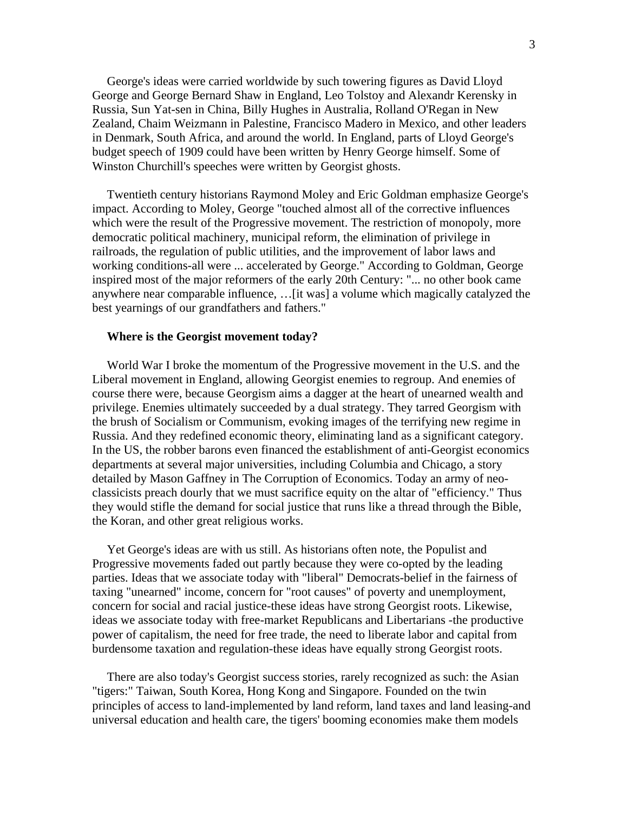George's ideas were carried worldwide by such towering figures as David Lloyd George and George Bernard Shaw in England, Leo Tolstoy and Alexandr Kerensky in Russia, Sun Yat-sen in China, Billy Hughes in Australia, Rolland O'Regan in New Zealand, Chaim Weizmann in Palestine, Francisco Madero in Mexico, and other leaders in Denmark, South Africa, and around the world. In England, parts of Lloyd George's budget speech of 1909 could have been written by Henry George himself. Some of Winston Churchill's speeches were written by Georgist ghosts.

Twentieth century historians Raymond Moley and Eric Goldman emphasize George's impact. According to Moley, George "touched almost all of the corrective influences which were the result of the Progressive movement. The restriction of monopoly, more democratic political machinery, municipal reform, the elimination of privilege in railroads, the regulation of public utilities, and the improvement of labor laws and working conditions-all were ... accelerated by George." According to Goldman, George inspired most of the major reformers of the early 20th Century: "... no other book came anywhere near comparable influence, …[it was] a volume which magically catalyzed the best yearnings of our grandfathers and fathers."

## **Where is the Georgist movement today?**

World War I broke the momentum of the Progressive movement in the U.S. and the Liberal movement in England, allowing Georgist enemies to regroup. And enemies of course there were, because Georgism aims a dagger at the heart of unearned wealth and privilege. Enemies ultimately succeeded by a dual strategy. They tarred Georgism with the brush of Socialism or Communism, evoking images of the terrifying new regime in Russia. And they redefined economic theory, eliminating land as a significant category. In the US, the robber barons even financed the establishment of anti-Georgist economics departments at several major universities, including Columbia and Chicago, a story detailed by Mason Gaffney in The Corruption of Economics. Today an army of neoclassicists preach dourly that we must sacrifice equity on the altar of "efficiency." Thus they would stifle the demand for social justice that runs like a thread through the Bible, the Koran, and other great religious works.

Yet George's ideas are with us still. As historians often note, the Populist and Progressive movements faded out partly because they were co-opted by the leading parties. Ideas that we associate today with "liberal" Democrats-belief in the fairness of taxing "unearned" income, concern for "root causes" of poverty and unemployment, concern for social and racial justice-these ideas have strong Georgist roots. Likewise, ideas we associate today with free-market Republicans and Libertarians -the productive power of capitalism, the need for free trade, the need to liberate labor and capital from burdensome taxation and regulation-these ideas have equally strong Georgist roots.

There are also today's Georgist success stories, rarely recognized as such: the Asian "tigers:" Taiwan, South Korea, Hong Kong and Singapore. Founded on the twin principles of access to land-implemented by land reform, land taxes and land leasing-and universal education and health care, the tigers' booming economies make them models